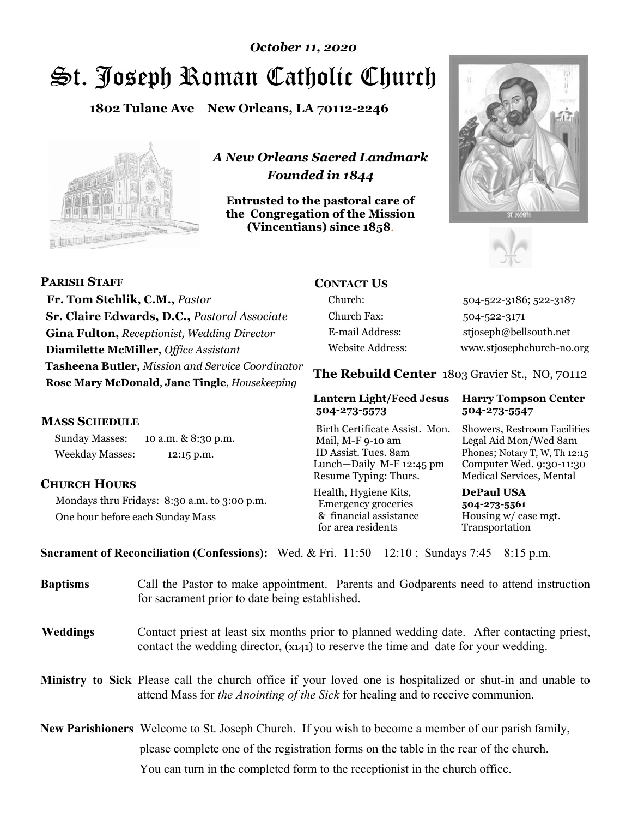# St. Joseph Roman Catholic Church *October 11, 2020*

**1802 Tulane Ave New Orleans, LA 70112-2246**



*A New Orleans Sacred Landmark Founded in 1844* 

**Entrusted to the pastoral care of the Congregation of the Mission (Vincentians) since 1858**.





**PARISH STAFF Fr. Tom Stehlik, C.M.,** *Pastor* **Sr. Claire Edwards, D.C.,** *Pastoral Associate* **Gina Fulton,** *Receptionist, Wedding Director* **Diamilette McMiller,** *Office Assistant* **Tasheena Butler,** *Mission and Service Coordinator* **Rose Mary McDonald**, **Jane Tingle**, *Housekeeping* 

#### **MASS SCHEDULE**

Sunday Masses: 10 a.m. & 8:30 p.m. Weekday Masses: 12:15 p.m.

#### **CHURCH HOURS**

Mondays thru Fridays: 8:30 a.m. to 3:00 p.m. One hour before each Sunday Mass

# **CONTACT US**

Church: 504-522-3186; 522-3187 Church Fax: 504-522-3171 E-mail Address: stjoseph@bellsouth.net Website Address: www.stjosephchurch-no.org

**The Rebuild Center** 1803 Gravier St., NO, 70112

#### **Lantern Light/Feed Jesus Harry Tompson Center 504-273-5573 504-273-5547**

Birth Certificate Assist. Mon. Showers, Restroom Facilities Mail, M-F 9-10 am Legal Aid Mon/Wed 8am ID Assist. Tues. 8am Phones; Notary T, W, Th 12:15 Lunch—Daily M-F 12:45 pm Computer Wed. 9:30-11:30 Resume Typing: Thurs. Medical Services, Mental

Health, Hygiene Kits, **DePaul USA**  Emergency groceries **504-273-5561** & financial assistance Housing w/ case mgt.<br>for area residents Transportation for area residents

**Sacrament of Reconciliation (Confessions):** Wed. & Fri. 11:50—12:10 ; Sundays 7:45—8:15 p.m.

| <b>Baptisms</b> | Call the Pastor to make appointment. Parents and Godparents need to attend instruction<br>for sacrament prior to date being established.                                                            |
|-----------------|-----------------------------------------------------------------------------------------------------------------------------------------------------------------------------------------------------|
| Weddings        | Contact priest at least six months prior to planned wedding date. After contacting priest,<br>contact the wedding director, (x141) to reserve the time and date for your wedding.                   |
|                 | <b>Ministry to Sick</b> Please call the church office if your loved one is hospitalized or shut-in and unable to<br>attend Mass for the Anointing of the Sick for healing and to receive communion. |
|                 | <b>New Parishioners</b> Welcome to St. Joseph Church. If you wish to become a member of our parish family,                                                                                          |
|                 | please complete one of the registration forms on the table in the rear of the church.                                                                                                               |
|                 | You can turn in the completed form to the receptionist in the church office.                                                                                                                        |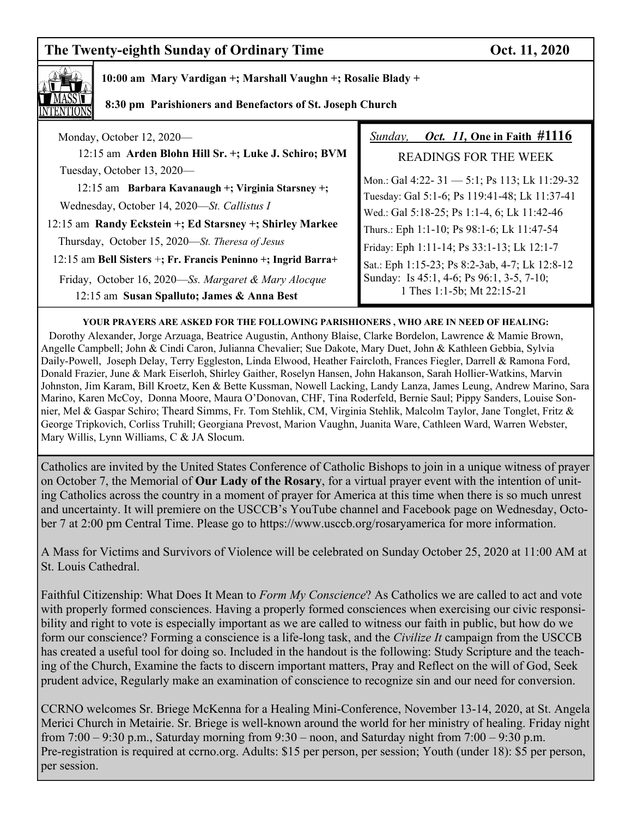# **The Twenty-eighth Sunday of Ordinary Time Concretional Concretion Concretional Concretion Concretion Concretion**



 **10:00 am Mary Vardigan +; Marshall Vaughn +; Rosalie Blady +** 

#### **8:30 pm Parishioners and Benefactors of St. Joseph Church**

| Monday, October 12, 2020—                                     | <i>Oct.</i> 11, One in Faith $\#1116$<br>Sunday, |
|---------------------------------------------------------------|--------------------------------------------------|
| 12:15 am Arden Blohn Hill Sr. +; Luke J. Schiro; BVM          | <b>READINGS FOR THE WEEK</b>                     |
| Tuesday, October 13, 2020—                                    |                                                  |
| 12:15 am Barbara Kavanaugh +; Virginia Starsney +;            | Mon.: Gal 4:22-31 - 5:1; Ps 113; Lk 11:29-32     |
|                                                               | Tuesday: Gal 5:1-6; Ps 119:41-48; Lk 11:37-41    |
| Wednesday, October 14, 2020—St. Callistus I                   | Wed.: Gal 5:18-25; Ps 1:1-4, 6; Lk 11:42-46      |
| 12:15 am Randy Eckstein +; Ed Starsney +; Shirley Markee      | Thurs.: Eph 1:1-10; Ps 98:1-6; Lk 11:47-54       |
| Thursday, October 15, 2020—St. Theresa of Jesus               | Friday: Eph 1:11-14; Ps 33:1-13; Lk 12:1-7       |
| 12:15 am Bell Sisters +; Fr. Francis Peninno +; Ingrid Barra+ | Sat.: Eph 1:15-23; Ps 8:2-3ab, 4-7; Lk 12:8-12   |
| Friday, October 16, 2020—Ss. Margaret & Mary Alocque          | Sunday: Is 45:1, 4-6; Ps 96:1, 3-5, 7-10;        |
| 12:15 am Susan Spalluto; James & Anna Best                    | 1 Thes 1:1-5b; Mt 22:15-21                       |

#### **YOUR PRAYERS ARE ASKED FOR THE FOLLOWING PARISHIONERS , WHO ARE IN NEED OF HEALING:**

 Dorothy Alexander, Jorge Arzuaga, Beatrice Augustin, Anthony Blaise, Clarke Bordelon, Lawrence & Mamie Brown, Angelle Campbell; John & Cindi Caron, Julianna Chevalier; Sue Dakote, Mary Duet, John & Kathleen Gebbia, Sylvia Daily-Powell, Joseph Delay, Terry Eggleston, Linda Elwood, Heather Faircloth, Frances Fiegler, Darrell & Ramona Ford, Donald Frazier, June & Mark Eiserloh, Shirley Gaither, Roselyn Hansen, John Hakanson, Sarah Hollier-Watkins, Marvin Johnston, Jim Karam, Bill Kroetz, Ken & Bette Kussman, Nowell Lacking, Landy Lanza, James Leung, Andrew Marino, Sara Marino, Karen McCoy, Donna Moore, Maura O'Donovan, CHF, Tina Roderfeld, Bernie Saul; Pippy Sanders, Louise Sonnier, Mel & Gaspar Schiro; Theard Simms, Fr. Tom Stehlik, CM, Virginia Stehlik, Malcolm Taylor, Jane Tonglet, Fritz & George Tripkovich, Corliss Truhill; Georgiana Prevost, Marion Vaughn, Juanita Ware, Cathleen Ward, Warren Webster, Mary Willis, Lynn Williams, C & JA Slocum.

Catholics are invited by the United States Conference of Catholic Bishops to join in a unique witness of prayer on October 7, the Memorial of **Our Lady of the Rosary**, for a virtual prayer event with the intention of uniting Catholics across the country in a moment of prayer for America at this time when there is so much unrest and uncertainty. It will premiere on the USCCB's YouTube channel and Facebook page on Wednesday, October 7 at 2:00 pm Central Time. Please go to https://www.usccb.org/rosaryamerica for more information.

A Mass for Victims and Survivors of Violence will be celebrated on Sunday October 25, 2020 at 11:00 AM at St. Louis Cathedral.

Faithful Citizenship: What Does It Mean to *Form My Conscience*? As Catholics we are called to act and vote with properly formed consciences. Having a properly formed consciences when exercising our civic responsibility and right to vote is especially important as we are called to witness our faith in public, but how do we form our conscience? Forming a conscience is a life-long task, and the *Civilize It* campaign from the USCCB has created a useful tool for doing so. Included in the handout is the following: Study Scripture and the teaching of the Church, Examine the facts to discern important matters, Pray and Reflect on the will of God, Seek prudent advice, Regularly make an examination of conscience to recognize sin and our need for conversion.

CCRNO welcomes Sr. Briege McKenna for a Healing Mini-Conference, November 13-14, 2020, at St. Angela Merici Church in Metairie. Sr. Briege is well-known around the world for her ministry of healing. Friday night from  $7:00 - 9:30$  p.m., Saturday morning from  $9:30 -$  noon, and Saturday night from  $7:00 - 9:30$  p.m. Pre-registration is required at ccrno.org. Adults: \$15 per person, per session; Youth (under 18): \$5 per person, per session.